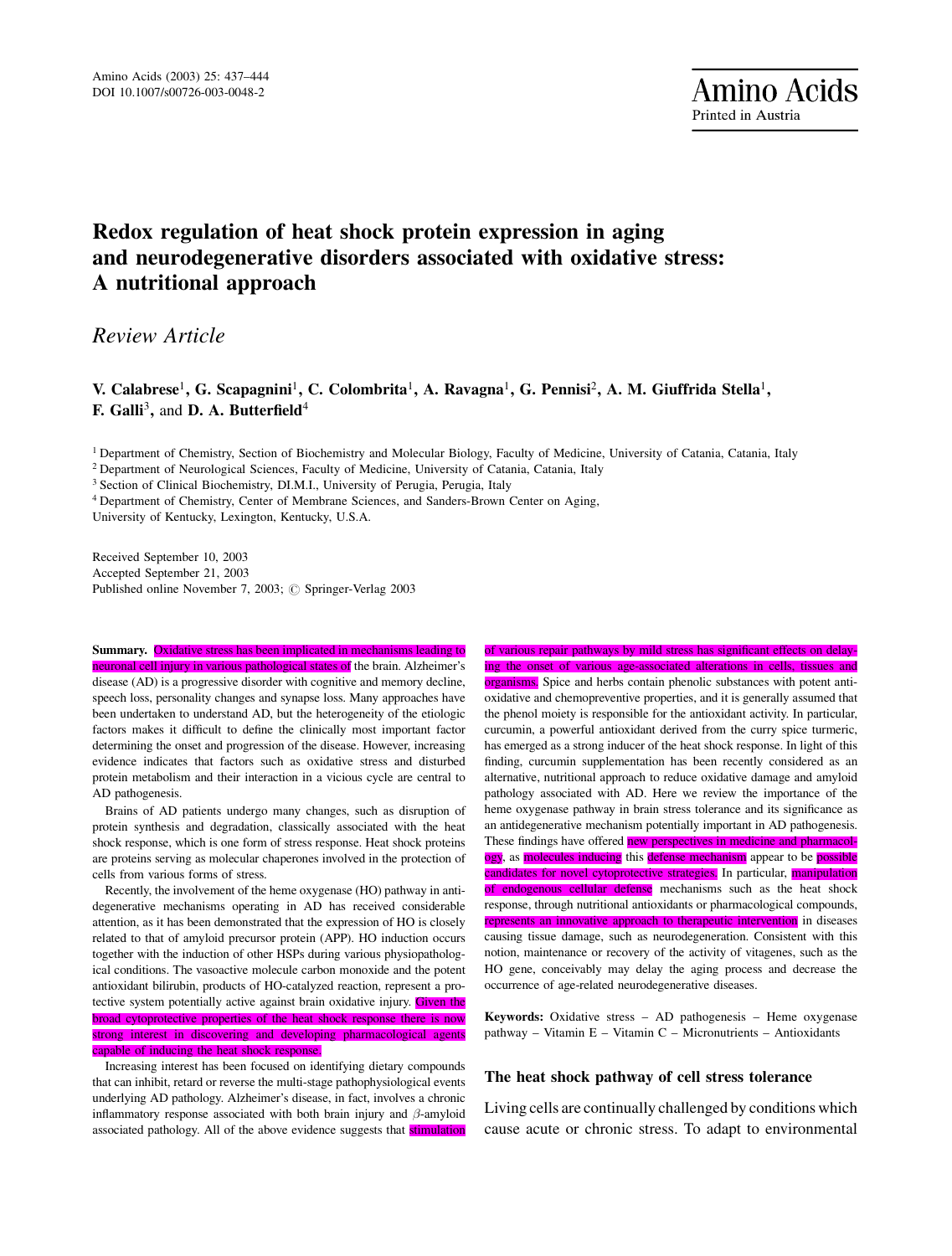# Redox regulation of heat shock protein expression in aging and neurodegenerative disorders associated with oxidative stress: A nutritional approach

Review Article

# V. Calabrese<sup>1</sup>, G. Scapagnini<sup>1</sup>, C. Colombrita<sup>1</sup>, A. Ravagna<sup>1</sup>, G. Pennisi<sup>2</sup>, A. M. Giuffrida Stella<sup>1</sup>, F. Galli<sup>3</sup>, and D. A. Butterfield<sup>4</sup>

<sup>1</sup> Department of Chemistry, Section of Biochemistry and Molecular Biology, Faculty of Medicine, University of Catania, Catania, Italy

<sup>2</sup> Department of Neurological Sciences, Faculty of Medicine, University of Catania, Catania, Italy

<sup>3</sup> Section of Clinical Biochemistry, DI.M.I., University of Perugia, Perugia, Italy

<sup>4</sup> Department of Chemistry, Center of Membrane Sciences, and Sanders-Brown Center on Aging,

University of Kentucky, Lexington, Kentucky, U.S.A.

Received September 10, 2003 Accepted September 21, 2003 Published online November 7, 2003;  $\circledcirc$  Springer-Verlag 2003

Summary. Oxidative stress has been implicated in mechanisms leading to neuronal cell injury in various pathological states of the brain. Alzheimer's disease (AD) is a progressive disorder with cognitive and memory decline, speech loss, personality changes and synapse loss. Many approaches have been undertaken to understand AD, but the heterogeneity of the etiologic factors makes it difficult to define the clinically most important factor determining the onset and progression of the disease. However, increasing evidence indicates that factors such as oxidative stress and disturbed protein metabolism and their interaction in a vicious cycle are central to AD pathogenesis.

Brains of AD patients undergo many changes, such as disruption of protein synthesis and degradation, classically associated with the heat shock response, which is one form of stress response. Heat shock proteins are proteins serving as molecular chaperones involved in the protection of cells from various forms of stress.

Recently, the involvement of the heme oxygenase (HO) pathway in antidegenerative mechanisms operating in AD has received considerable attention, as it has been demonstrated that the expression of HO is closely related to that of amyloid precursor protein (APP). HO induction occurs together with the induction of other HSPs during various physiopathological conditions. The vasoactive molecule carbon monoxide and the potent antioxidant bilirubin, products of HO-catalyzed reaction, represent a protective system potentially active against brain oxidative injury. Given the broad cytoprotective properties of the heat shock response there is now strong interest in discovering and developing pharmacological agents capable of inducing the heat shock response.

Increasing interest has been focused on identifying dietary compounds that can inhibit, retard or reverse the multi-stage pathophysiological events underlying AD pathology. Alzheimer's disease, in fact, involves a chronic inflammatory response associated with both brain injury and  $\beta$ -amyloid associated pathology. All of the above evidence suggests that stimulation

of various repair pathways by mild stress has significant effects on delaying the onset of various age-associated alterations in cells, tissues and organisms. Spice and herbs contain phenolic substances with potent antioxidative and chemopreventive properties, and it is generally assumed that the phenol moiety is responsible for the antioxidant activity. In particular, curcumin, a powerful antioxidant derived from the curry spice turmeric, has emerged as a strong inducer of the heat shock response. In light of this finding, curcumin supplementation has been recently considered as an alternative, nutritional approach to reduce oxidative damage and amyloid pathology associated with AD. Here we review the importance of the heme oxygenase pathway in brain stress tolerance and its significance as an antidegenerative mechanism potentially important in AD pathogenesis. These findings have offered new perspectives in medicine and pharmacology, as molecules inducing this defense mechanism appear to be possible candidates for novel cytoprotective strategies. In particular, manipulation of endogenous cellular defense mechanisms such as the heat shock response, through nutritional antioxidants or pharmacological compounds, represents an innovative approach to therapeutic intervention in diseases causing tissue damage, such as neurodegeneration. Consistent with this notion, maintenance or recovery of the activity of vitagenes, such as the HO gene, conceivably may delay the aging process and decrease the occurrence of age-related neurodegenerative diseases.

Keywords: Oxidative stress – AD pathogenesis – Heme oxygenase pathway – Vitamin E – Vitamin C – Micronutrients – Antioxidants

### The heat shock pathway of cell stress tolerance

Living cells are continually challenged by conditions which cause acute or chronic stress. To adapt to environmental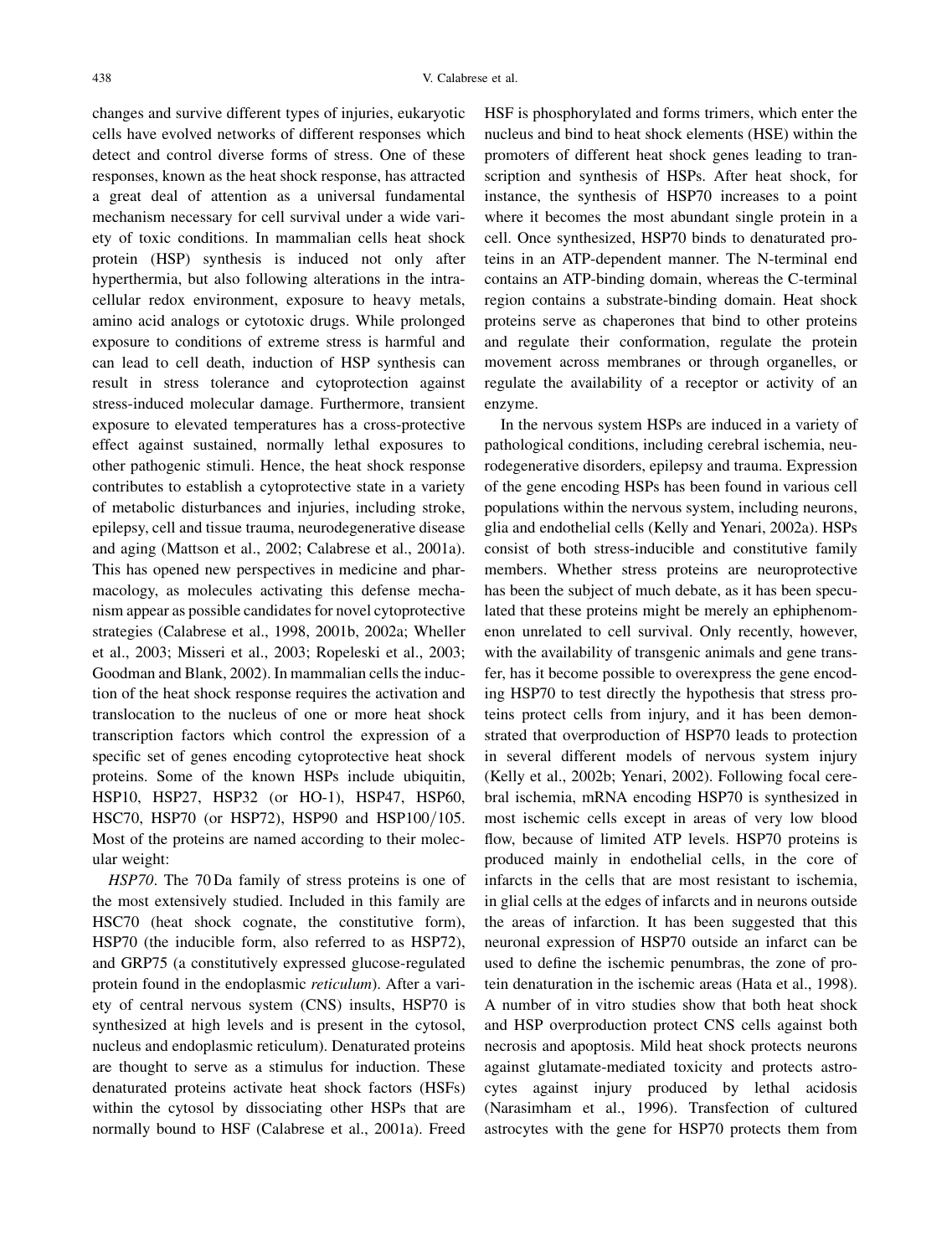changes and survive different types of injuries, eukaryotic cells have evolved networks of different responses which detect and control diverse forms of stress. One of these responses, known as the heat shock response, has attracted a great deal of attention as a universal fundamental mechanism necessary for cell survival under a wide variety of toxic conditions. In mammalian cells heat shock protein (HSP) synthesis is induced not only after hyperthermia, but also following alterations in the intracellular redox environment, exposure to heavy metals, amino acid analogs or cytotoxic drugs. While prolonged exposure to conditions of extreme stress is harmful and can lead to cell death, induction of HSP synthesis can result in stress tolerance and cytoprotection against stress-induced molecular damage. Furthermore, transient exposure to elevated temperatures has a cross-protective effect against sustained, normally lethal exposures to other pathogenic stimuli. Hence, the heat shock response contributes to establish a cytoprotective state in a variety of metabolic disturbances and injuries, including stroke, epilepsy, cell and tissue trauma, neurodegenerative disease and aging (Mattson et al., 2002; Calabrese et al., 2001a). This has opened new perspectives in medicine and pharmacology, as molecules activating this defense mechanism appear as possible candidates for novel cytoprotective strategies (Calabrese et al., 1998, 2001b, 2002a; Wheller et al., 2003; Misseri et al., 2003; Ropeleski et al., 2003; Goodman and Blank, 2002). In mammalian cells the induction of the heat shock response requires the activation and translocation to the nucleus of one or more heat shock transcription factors which control the expression of a specific set of genes encoding cytoprotective heat shock proteins. Some of the known HSPs include ubiquitin, HSP10, HSP27, HSP32 (or HO-1), HSP47, HSP60, HSC70, HSP70 (or HSP72), HSP90 and HSP100/105. Most of the proteins are named according to their molecular weight:

HSP70. The 70 Da family of stress proteins is one of the most extensively studied. Included in this family are HSC70 (heat shock cognate, the constitutive form), HSP70 (the inducible form, also referred to as HSP72), and GRP75 (a constitutively expressed glucose-regulated protein found in the endoplasmic reticulum). After a variety of central nervous system (CNS) insults, HSP70 is synthesized at high levels and is present in the cytosol, nucleus and endoplasmic reticulum). Denaturated proteins are thought to serve as a stimulus for induction. These denaturated proteins activate heat shock factors (HSFs) within the cytosol by dissociating other HSPs that are normally bound to HSF (Calabrese et al., 2001a). Freed

HSF is phosphorylated and forms trimers, which enter the nucleus and bind to heat shock elements (HSE) within the promoters of different heat shock genes leading to transcription and synthesis of HSPs. After heat shock, for instance, the synthesis of HSP70 increases to a point where it becomes the most abundant single protein in a cell. Once synthesized, HSP70 binds to denaturated proteins in an ATP-dependent manner. The N-terminal end contains an ATP-binding domain, whereas the C-terminal region contains a substrate-binding domain. Heat shock proteins serve as chaperones that bind to other proteins and regulate their conformation, regulate the protein movement across membranes or through organelles, or regulate the availability of a receptor or activity of an enzyme.

In the nervous system HSPs are induced in a variety of pathological conditions, including cerebral ischemia, neurodegenerative disorders, epilepsy and trauma. Expression of the gene encoding HSPs has been found in various cell populations within the nervous system, including neurons, glia and endothelial cells (Kelly and Yenari, 2002a). HSPs consist of both stress-inducible and constitutive family members. Whether stress proteins are neuroprotective has been the subject of much debate, as it has been speculated that these proteins might be merely an ephiphenomenon unrelated to cell survival. Only recently, however, with the availability of transgenic animals and gene transfer, has it become possible to overexpress the gene encoding HSP70 to test directly the hypothesis that stress proteins protect cells from injury, and it has been demonstrated that overproduction of HSP70 leads to protection in several different models of nervous system injury (Kelly et al., 2002b; Yenari, 2002). Following focal cerebral ischemia, mRNA encoding HSP70 is synthesized in most ischemic cells except in areas of very low blood flow, because of limited ATP levels. HSP70 proteins is produced mainly in endothelial cells, in the core of infarcts in the cells that are most resistant to ischemia, in glial cells at the edges of infarcts and in neurons outside the areas of infarction. It has been suggested that this neuronal expression of HSP70 outside an infarct can be used to define the ischemic penumbras, the zone of protein denaturation in the ischemic areas (Hata et al., 1998). A number of in vitro studies show that both heat shock and HSP overproduction protect CNS cells against both necrosis and apoptosis. Mild heat shock protects neurons against glutamate-mediated toxicity and protects astrocytes against injury produced by lethal acidosis (Narasimham et al., 1996). Transfection of cultured astrocytes with the gene for HSP70 protects them from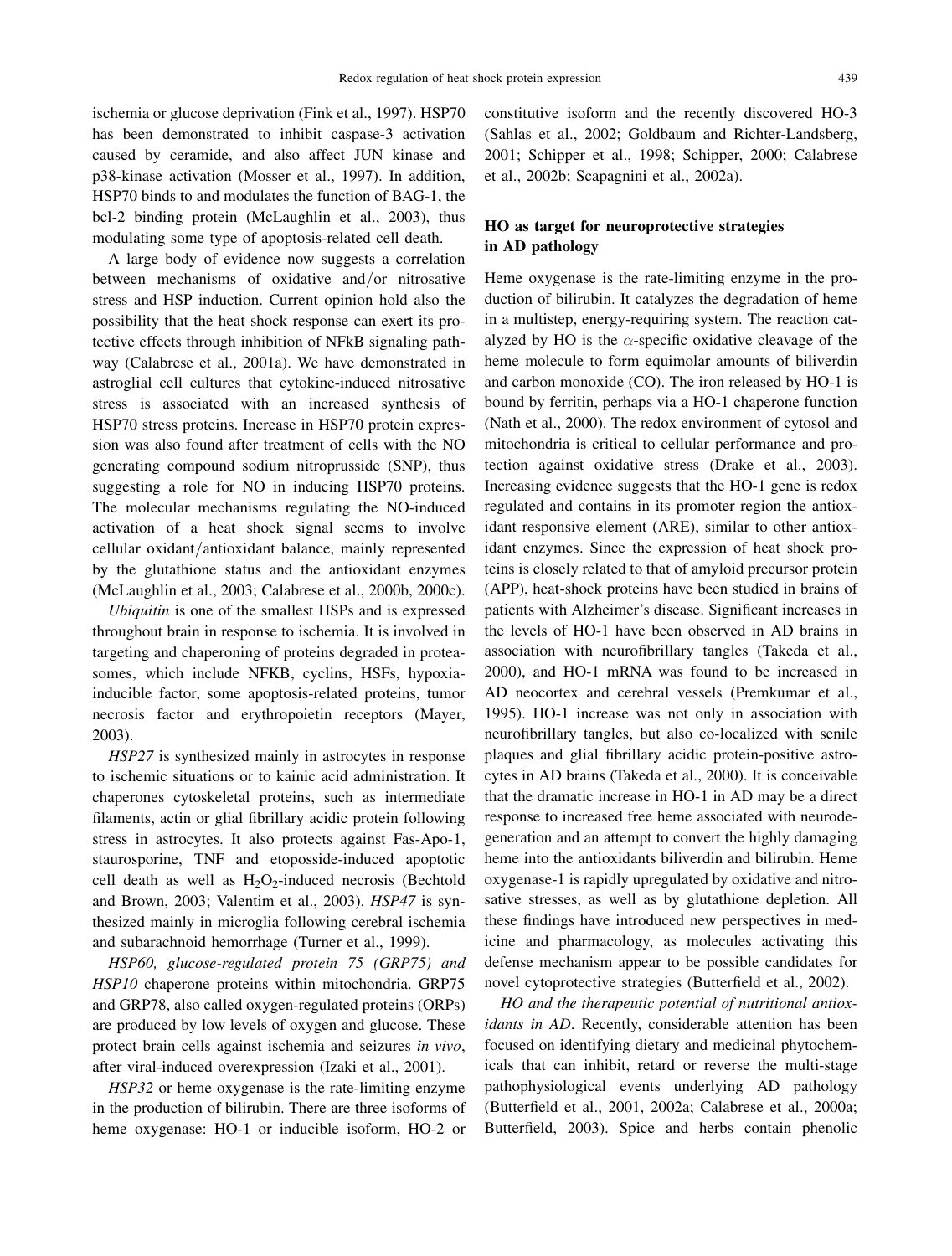ischemia or glucose deprivation (Fink et al., 1997). HSP70 has been demonstrated to inhibit caspase-3 activation caused by ceramide, and also affect JUN kinase and p38-kinase activation (Mosser et al., 1997). In addition, HSP70 binds to and modulates the function of BAG-1, the bcl-2 binding protein (McLaughlin et al., 2003), thus modulating some type of apoptosis-related cell death.

A large body of evidence now suggests a correlation between mechanisms of oxidative and/or nitrosative stress and HSP induction. Current opinion hold also the possibility that the heat shock response can exert its protective effects through inhibition of NFkB signaling pathway (Calabrese et al., 2001a). We have demonstrated in astroglial cell cultures that cytokine-induced nitrosative stress is associated with an increased synthesis of HSP70 stress proteins. Increase in HSP70 protein expression was also found after treatment of cells with the NO generating compound sodium nitroprusside (SNP), thus suggesting a role for NO in inducing HSP70 proteins. The molecular mechanisms regulating the NO-induced activation of a heat shock signal seems to involve cellular oxidant/antioxidant balance, mainly represented by the glutathione status and the antioxidant enzymes (McLaughlin et al., 2003; Calabrese et al., 2000b, 2000c).

Ubiquitin is one of the smallest HSPs and is expressed throughout brain in response to ischemia. It is involved in targeting and chaperoning of proteins degraded in proteasomes, which include NFKB, cyclins, HSFs, hypoxiainducible factor, some apoptosis-related proteins, tumor necrosis factor and erythropoietin receptors (Mayer, 2003).

HSP27 is synthesized mainly in astrocytes in response to ischemic situations or to kainic acid administration. It chaperones cytoskeletal proteins, such as intermediate filaments, actin or glial fibrillary acidic protein following stress in astrocytes. It also protects against Fas-Apo-1, staurosporine, TNF and etoposside-induced apoptotic cell death as well as  $H_2O_2$ -induced necrosis (Bechtold and Brown, 2003; Valentim et al., 2003). HSP47 is synthesized mainly in microglia following cerebral ischemia and subarachnoid hemorrhage (Turner et al., 1999).

HSP60, glucose-regulated protein 75 (GRP75) and HSP10 chaperone proteins within mitochondria. GRP75 and GRP78, also called oxygen-regulated proteins (ORPs) are produced by low levels of oxygen and glucose. These protect brain cells against ischemia and seizures in vivo, after viral-induced overexpression (Izaki et al., 2001).

HSP32 or heme oxygenase is the rate-limiting enzyme in the production of bilirubin. There are three isoforms of heme oxygenase: HO-1 or inducible isoform, HO-2 or constitutive isoform and the recently discovered HO-3 (Sahlas et al., 2002; Goldbaum and Richter-Landsberg, 2001; Schipper et al., 1998; Schipper, 2000; Calabrese et al., 2002b; Scapagnini et al., 2002a).

## HO as target for neuroprotective strategies in AD pathology

Heme oxygenase is the rate-limiting enzyme in the production of bilirubin. It catalyzes the degradation of heme in a multistep, energy-requiring system. The reaction catalyzed by HO is the  $\alpha$ -specific oxidative cleavage of the heme molecule to form equimolar amounts of biliverdin and carbon monoxide (CO). The iron released by HO-1 is bound by ferritin, perhaps via a HO-1 chaperone function (Nath et al., 2000). The redox environment of cytosol and mitochondria is critical to cellular performance and protection against oxidative stress (Drake et al., 2003). Increasing evidence suggests that the HO-1 gene is redox regulated and contains in its promoter region the antioxidant responsive element (ARE), similar to other antioxidant enzymes. Since the expression of heat shock proteins is closely related to that of amyloid precursor protein (APP), heat-shock proteins have been studied in brains of patients with Alzheimer's disease. Significant increases in the levels of HO-1 have been observed in AD brains in association with neurofibrillary tangles (Takeda et al., 2000), and HO-1 mRNA was found to be increased in AD neocortex and cerebral vessels (Premkumar et al., 1995). HO-1 increase was not only in association with neurofibrillary tangles, but also co-localized with senile plaques and glial fibrillary acidic protein-positive astrocytes in AD brains (Takeda et al., 2000). It is conceivable that the dramatic increase in HO-1 in AD may be a direct response to increased free heme associated with neurodegeneration and an attempt to convert the highly damaging heme into the antioxidants biliverdin and bilirubin. Heme oxygenase-1 is rapidly upregulated by oxidative and nitrosative stresses, as well as by glutathione depletion. All these findings have introduced new perspectives in medicine and pharmacology, as molecules activating this defense mechanism appear to be possible candidates for novel cytoprotective strategies (Butterfield et al., 2002).

HO and the therapeutic potential of nutritional antioxidants in AD. Recently, considerable attention has been focused on identifying dietary and medicinal phytochemicals that can inhibit, retard or reverse the multi-stage pathophysiological events underlying AD pathology (Butterfield et al., 2001, 2002a; Calabrese et al., 2000a; Butterfield, 2003). Spice and herbs contain phenolic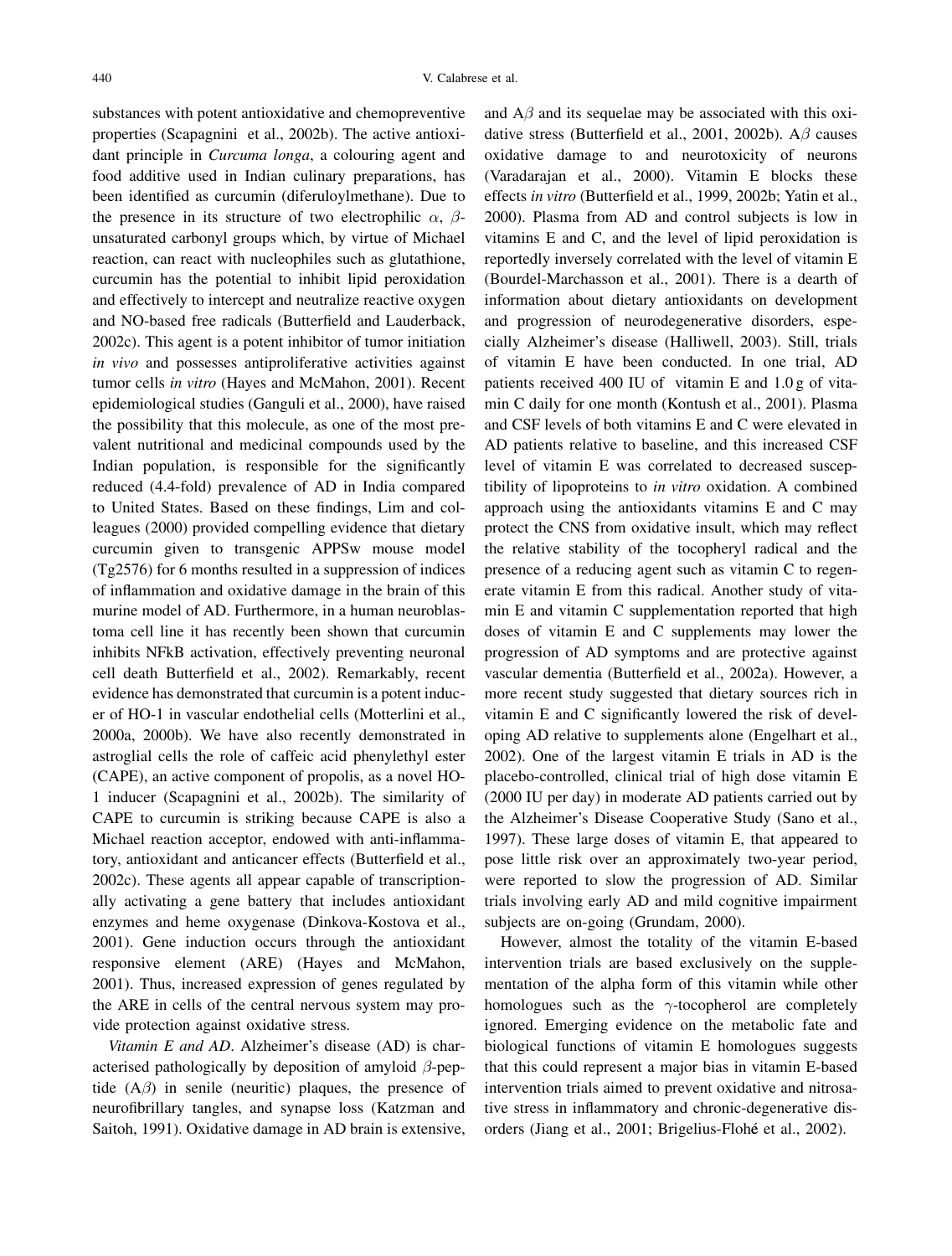substances with potent antioxidative and chemopreventive properties (Scapagnini et al., 2002b). The active antioxidant principle in Curcuma longa, a colouring agent and food additive used in Indian culinary preparations, has been identified as curcumin (diferuloylmethane). Due to the presence in its structure of two electrophilic  $\alpha$ ,  $\beta$ unsaturated carbonyl groups which, by virtue of Michael reaction, can react with nucleophiles such as glutathione, curcumin has the potential to inhibit lipid peroxidation and effectively to intercept and neutralize reactive oxygen and NO-based free radicals (Butterfield and Lauderback, 2002c). This agent is a potent inhibitor of tumor initiation in vivo and possesses antiproliferative activities against tumor cells in vitro (Hayes and McMahon, 2001). Recent epidemiological studies (Ganguli et al., 2000), have raised the possibility that this molecule, as one of the most prevalent nutritional and medicinal compounds used by the Indian population, is responsible for the significantly reduced (4.4-fold) prevalence of AD in India compared to United States. Based on these findings, Lim and colleagues (2000) provided compelling evidence that dietary curcumin given to transgenic APPSw mouse model (Tg2576) for 6 months resulted in a suppression of indices of inflammation and oxidative damage in the brain of this murine model of AD. Furthermore, in a human neuroblastoma cell line it has recently been shown that curcumin inhibits NFkB activation, effectively preventing neuronal cell death Butterfield et al., 2002). Remarkably, recent evidence has demonstrated that curcumin is a potent inducer of HO-1 in vascular endothelial cells (Motterlini et al., 2000a, 2000b). We have also recently demonstrated in astroglial cells the role of caffeic acid phenylethyl ester (CAPE), an active component of propolis, as a novel HO-1 inducer (Scapagnini et al., 2002b). The similarity of CAPE to curcumin is striking because CAPE is also a Michael reaction acceptor, endowed with anti-inflammatory, antioxidant and anticancer effects (Butterfield et al., 2002c). These agents all appear capable of transcriptionally activating a gene battery that includes antioxidant enzymes and heme oxygenase (Dinkova-Kostova et al., 2001). Gene induction occurs through the antioxidant responsive element (ARE) (Hayes and McMahon, 2001). Thus, increased expression of genes regulated by the ARE in cells of the central nervous system may provide protection against oxidative stress.

Vitamin E and AD. Alzheimer's disease (AD) is characterised pathologically by deposition of amyloid  $\beta$ -peptide  $(A\beta)$  in senile (neuritic) plaques, the presence of neurofibrillary tangles, and synapse loss (Katzman and Saitoh, 1991). Oxidative damage in AD brain is extensive, and  $A\beta$  and its sequelae may be associated with this oxidative stress (Butterfield et al., 2001, 2002b). A $\beta$  causes oxidative damage to and neurotoxicity of neurons (Varadarajan et al., 2000). Vitamin E blocks these effects in vitro (Butterfield et al., 1999, 2002b; Yatin et al., 2000). Plasma from AD and control subjects is low in vitamins E and C, and the level of lipid peroxidation is reportedly inversely correlated with the level of vitamin E (Bourdel-Marchasson et al., 2001). There is a dearth of information about dietary antioxidants on development and progression of neurodegenerative disorders, especially Alzheimer's disease (Halliwell, 2003). Still, trials of vitamin E have been conducted. In one trial, AD patients received 400 IU of vitamin E and 1.0 g of vitamin C daily for one month (Kontush et al., 2001). Plasma and CSF levels of both vitamins E and C were elevated in AD patients relative to baseline, and this increased CSF level of vitamin E was correlated to decreased susceptibility of lipoproteins to in vitro oxidation. A combined approach using the antioxidants vitamins E and C may protect the CNS from oxidative insult, which may reflect the relative stability of the tocopheryl radical and the presence of a reducing agent such as vitamin C to regenerate vitamin E from this radical. Another study of vitamin E and vitamin C supplementation reported that high doses of vitamin E and C supplements may lower the progression of AD symptoms and are protective against vascular dementia (Butterfield et al., 2002a). However, a more recent study suggested that dietary sources rich in vitamin E and C significantly lowered the risk of developing AD relative to supplements alone (Engelhart et al., 2002). One of the largest vitamin E trials in AD is the placebo-controlled, clinical trial of high dose vitamin E (2000 IU per day) in moderate AD patients carried out by the Alzheimer's Disease Cooperative Study (Sano et al., 1997). These large doses of vitamin E, that appeared to pose little risk over an approximately two-year period, were reported to slow the progression of AD. Similar trials involving early AD and mild cognitive impairment subjects are on-going (Grundam, 2000).

However, almost the totality of the vitamin E-based intervention trials are based exclusively on the supplementation of the alpha form of this vitamin while other homologues such as the  $\gamma$ -tocopherol are completely ignored. Emerging evidence on the metabolic fate and biological functions of vitamin E homologues suggests that this could represent a major bias in vitamin E-based intervention trials aimed to prevent oxidative and nitrosative stress in inflammatory and chronic-degenerative disorders (Jiang et al., 2001; Brigelius-Flohe et al., 2002).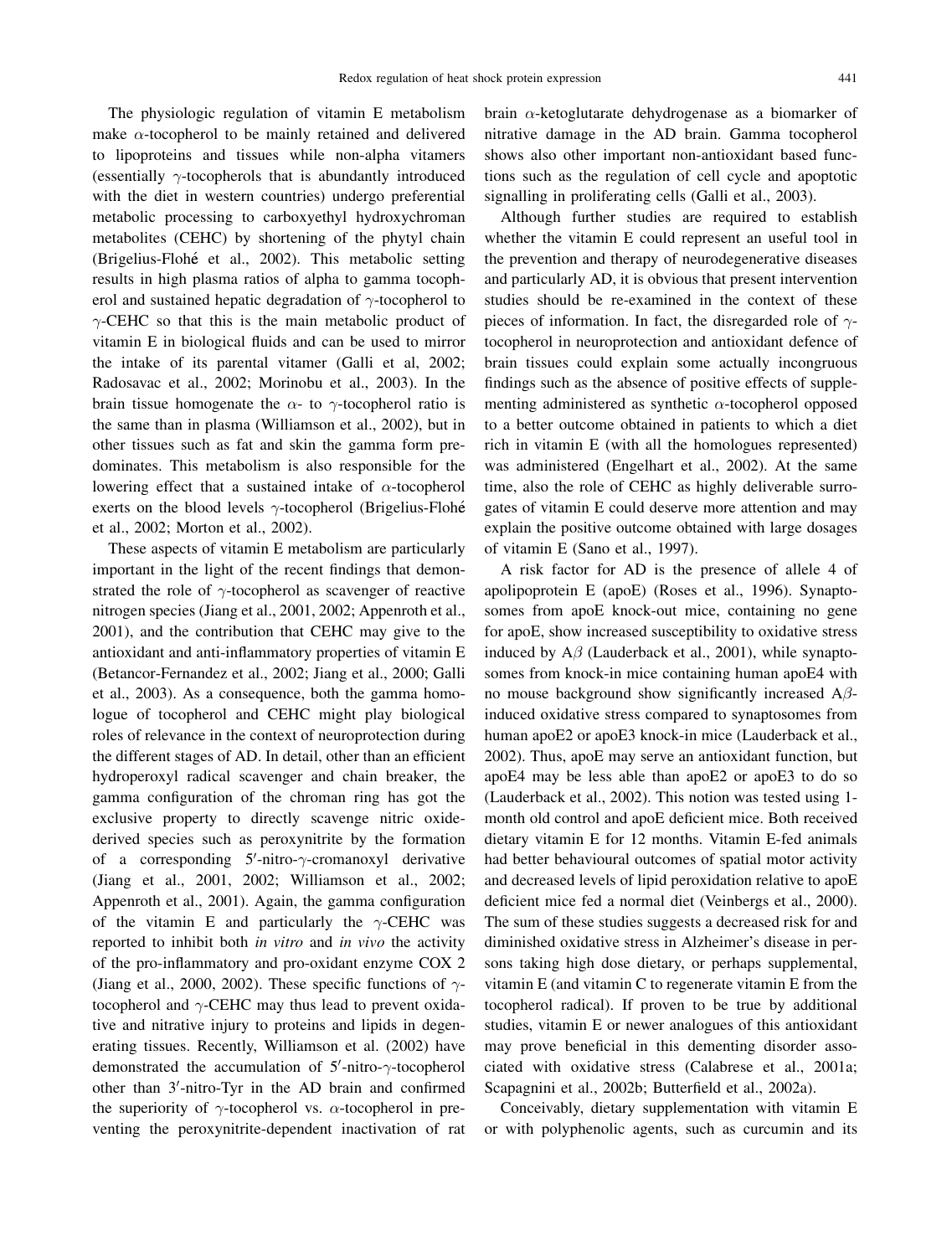The physiologic regulation of vitamin E metabolism make  $\alpha$ -tocopherol to be mainly retained and delivered to lipoproteins and tissues while non-alpha vitamers (essentially  $\gamma$ -tocopherols that is abundantly introduced with the diet in western countries) undergo preferential metabolic processing to carboxyethyl hydroxychroman metabolites (CEHC) by shortening of the phytyl chain (Brigelius-Flohe et al., 2002). This metabolic setting results in high plasma ratios of alpha to gamma tocopherol and sustained hepatic degradation of  $\gamma$ -tocopherol to  $\gamma$ -CEHC so that this is the main metabolic product of vitamin E in biological fluids and can be used to mirror the intake of its parental vitamer (Galli et al, 2002; Radosavac et al., 2002; Morinobu et al., 2003). In the brain tissue homogenate the  $\alpha$ - to  $\gamma$ -tocopherol ratio is the same than in plasma (Williamson et al., 2002), but in other tissues such as fat and skin the gamma form predominates. This metabolism is also responsible for the lowering effect that a sustained intake of  $\alpha$ -tocopherol exerts on the blood levels  $\gamma$ -tocopherol (Brigelius-Flohé et al., 2002; Morton et al., 2002).

These aspects of vitamin E metabolism are particularly important in the light of the recent findings that demonstrated the role of  $\gamma$ -tocopherol as scavenger of reactive nitrogen species (Jiang et al., 2001, 2002; Appenroth et al., 2001), and the contribution that CEHC may give to the antioxidant and anti-inflammatory properties of vitamin E (Betancor-Fernandez et al., 2002; Jiang et al., 2000; Galli et al., 2003). As a consequence, both the gamma homologue of tocopherol and CEHC might play biological roles of relevance in the context of neuroprotection during the different stages of AD. In detail, other than an efficient hydroperoxyl radical scavenger and chain breaker, the gamma configuration of the chroman ring has got the exclusive property to directly scavenge nitric oxidederived species such as peroxynitrite by the formation of a corresponding  $5'$ -nitro- $\gamma$ -cromanoxyl derivative (Jiang et al., 2001, 2002; Williamson et al., 2002; Appenroth et al., 2001). Again, the gamma configuration of the vitamin E and particularly the  $\gamma$ -CEHC was reported to inhibit both in vitro and in vivo the activity of the pro-inflammatory and pro-oxidant enzyme COX 2 (Jiang et al., 2000, 2002). These specific functions of  $\gamma$ tocopherol and  $\gamma$ -CEHC may thus lead to prevent oxidative and nitrative injury to proteins and lipids in degenerating tissues. Recently, Williamson et al. (2002) have demonstrated the accumulation of  $5'$ -nitro- $\gamma$ -tocopherol other than 3'-nitro-Tyr in the AD brain and confirmed the superiority of  $\gamma$ -tocopherol vs.  $\alpha$ -tocopherol in preventing the peroxynitrite-dependent inactivation of rat

brain  $\alpha$ -ketoglutarate dehydrogenase as a biomarker of nitrative damage in the AD brain. Gamma tocopherol shows also other important non-antioxidant based functions such as the regulation of cell cycle and apoptotic signalling in proliferating cells (Galli et al., 2003).

Although further studies are required to establish whether the vitamin E could represent an useful tool in the prevention and therapy of neurodegenerative diseases and particularly AD, it is obvious that present intervention studies should be re-examined in the context of these pieces of information. In fact, the disregarded role of  $\gamma$ tocopherol in neuroprotection and antioxidant defence of brain tissues could explain some actually incongruous findings such as the absence of positive effects of supplementing administered as synthetic  $\alpha$ -tocopherol opposed to a better outcome obtained in patients to which a diet rich in vitamin E (with all the homologues represented) was administered (Engelhart et al., 2002). At the same time, also the role of CEHC as highly deliverable surrogates of vitamin E could deserve more attention and may explain the positive outcome obtained with large dosages of vitamin E (Sano et al., 1997).

A risk factor for AD is the presence of allele 4 of apolipoprotein E (apoE) (Roses et al., 1996). Synaptosomes from apoE knock-out mice, containing no gene for apoE, show increased susceptibility to oxidative stress induced by  $A\beta$  (Lauderback et al., 2001), while synaptosomes from knock-in mice containing human apoE4 with no mouse background show significantly increased  $A\beta$ induced oxidative stress compared to synaptosomes from human apoE2 or apoE3 knock-in mice (Lauderback et al., 2002). Thus, apoE may serve an antioxidant function, but apoE4 may be less able than apoE2 or apoE3 to do so (Lauderback et al., 2002). This notion was tested using 1 month old control and apoE deficient mice. Both received dietary vitamin E for 12 months. Vitamin E-fed animals had better behavioural outcomes of spatial motor activity and decreased levels of lipid peroxidation relative to apoE deficient mice fed a normal diet (Veinbergs et al., 2000). The sum of these studies suggests a decreased risk for and diminished oxidative stress in Alzheimer's disease in persons taking high dose dietary, or perhaps supplemental, vitamin E (and vitamin C to regenerate vitamin E from the tocopherol radical). If proven to be true by additional studies, vitamin E or newer analogues of this antioxidant may prove beneficial in this dementing disorder associated with oxidative stress (Calabrese et al., 2001a; Scapagnini et al., 2002b; Butterfield et al., 2002a).

Conceivably, dietary supplementation with vitamin E or with polyphenolic agents, such as curcumin and its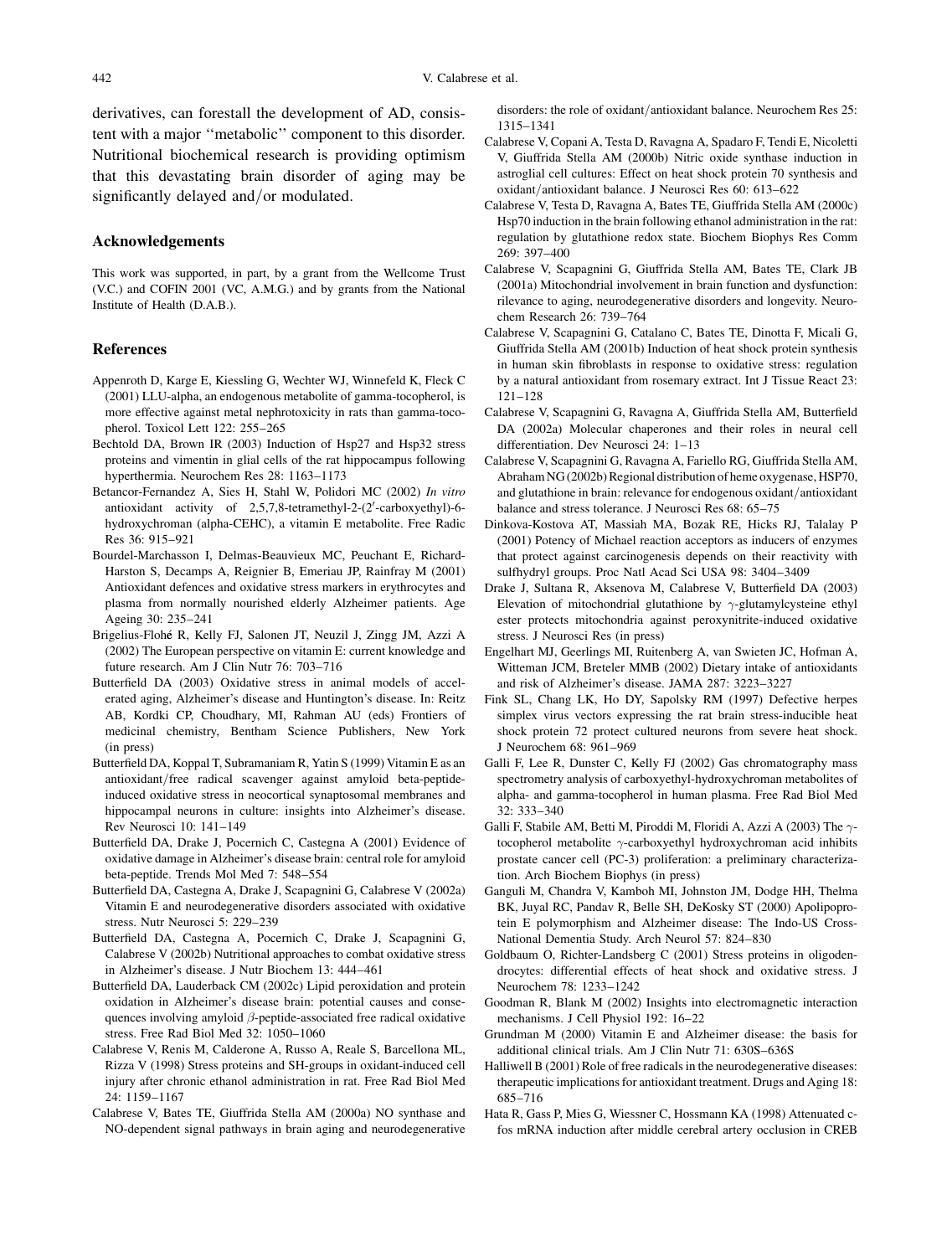derivatives, can forestall the development of AD, consistent with a major ''metabolic'' component to this disorder. Nutritional biochemical research is providing optimism that this devastating brain disorder of aging may be significantly delayed and/or modulated.

#### Acknowledgements

This work was supported, in part, by a grant from the Wellcome Trust (V.C.) and COFIN 2001 (VC, A.M.G.) and by grants from the National Institute of Health (D.A.B.).

#### References

- Appenroth D, Karge E, Kiessling G, Wechter WJ, Winnefeld K, Fleck C (2001) LLU-alpha, an endogenous metabolite of gamma-tocopherol, is more effective against metal nephrotoxicity in rats than gamma-tocopherol. Toxicol Lett 122: 255–265
- Bechtold DA, Brown IR (2003) Induction of Hsp27 and Hsp32 stress proteins and vimentin in glial cells of the rat hippocampus following hyperthermia. Neurochem Res 28: 1163–1173
- Betancor-Fernandez A, Sies H, Stahl W, Polidori MC (2002) In vitro antioxidant activity of 2,5,7,8-tetramethyl-2-(2'-carboxyethyl)-6hydroxychroman (alpha-CEHC), a vitamin E metabolite. Free Radic Res 36: 915–921
- Bourdel-Marchasson I, Delmas-Beauvieux MC, Peuchant E, Richard-Harston S, Decamps A, Reignier B, Emeriau JP, Rainfray M (2001) Antioxidant defences and oxidative stress markers in erythrocytes and plasma from normally nourished elderly Alzheimer patients. Age Ageing 30: 235–241
- Brigelius-Flohe R, Kelly FJ, Salonen JT, Neuzil J, Zingg JM, Azzi A (2002) The European perspective on vitamin E: current knowledge and future research. Am J Clin Nutr 76: 703–716
- Butterfield DA (2003) Oxidative stress in animal models of accelerated aging, Alzheimer's disease and Huntington's disease. In: Reitz AB, Kordki CP, Choudhary, MI, Rahman AU (eds) Frontiers of medicinal chemistry, Bentham Science Publishers, New York (in press)
- Butterfield DA, Koppal T, Subramaniam R, Yatin S (1999) Vitamin E as an antioxidant/free radical scavenger against amyloid beta-peptideinduced oxidative stress in neocortical synaptosomal membranes and hippocampal neurons in culture: insights into Alzheimer's disease. Rev Neurosci 10: 141–149
- Butterfield DA, Drake J, Pocernich C, Castegna A (2001) Evidence of oxidative damage in Alzheimer's disease brain: central role for amyloid beta-peptide. Trends Mol Med 7: 548–554
- Butterfield DA, Castegna A, Drake J, Scapagnini G, Calabrese V (2002a) Vitamin E and neurodegenerative disorders associated with oxidative stress. Nutr Neurosci 5: 229–239
- Butterfield DA, Castegna A, Pocernich C, Drake J, Scapagnini G, Calabrese V (2002b) Nutritional approaches to combat oxidative stress in Alzheimer's disease. J Nutr Biochem 13: 444–461
- Butterfield DA, Lauderback CM (2002c) Lipid peroxidation and protein oxidation in Alzheimer's disease brain: potential causes and consequences involving amyloid  $\beta$ -peptide-associated free radical oxidative stress. Free Rad Biol Med 32: 1050–1060
- Calabrese V, Renis M, Calderone A, Russo A, Reale S, Barcellona ML, Rizza V (1998) Stress proteins and SH-groups in oxidant-induced cell injury after chronic ethanol administration in rat. Free Rad Biol Med 24: 1159–1167
- Calabrese V, Bates TE, Giuffrida Stella AM (2000a) NO synthase and NO-dependent signal pathways in brain aging and neurodegenerative

disorders: the role of oxidant/antioxidant balance. Neurochem Res 25: 1315–1341

- Calabrese V, Copani A, Testa D, Ravagna A, Spadaro F, Tendi E, Nicoletti V, Giuffrida Stella AM (2000b) Nitric oxide synthase induction in astroglial cell cultures: Effect on heat shock protein 70 synthesis and oxidant/antioxidant balance. J Neurosci Res 60: 613–622
- Calabrese V, Testa D, Ravagna A, Bates TE, Giuffrida Stella AM (2000c) Hsp70 induction in the brain following ethanol administration in the rat: regulation by glutathione redox state. Biochem Biophys Res Comm 269: 397–400
- Calabrese V, Scapagnini G, Giuffrida Stella AM, Bates TE, Clark JB (2001a) Mitochondrial involvement in brain function and dysfunction: rilevance to aging, neurodegenerative disorders and longevity. Neurochem Research 26: 739–764
- Calabrese V, Scapagnini G, Catalano C, Bates TE, Dinotta F, Micali G, Giuffrida Stella AM (2001b) Induction of heat shock protein synthesis in human skin fibroblasts in response to oxidative stress: regulation by a natural antioxidant from rosemary extract. Int J Tissue React 23: 121–128
- Calabrese V, Scapagnini G, Ravagna A, Giuffrida Stella AM, Butterfield DA (2002a) Molecular chaperones and their roles in neural cell differentiation. Dev Neurosci 24: 1–13
- Calabrese V, Scapagnini G, Ravagna A, Fariello RG, Giuffrida Stella AM, Abraham NG (2002b) Regional distribution of heme oxygenase, HSP70, and glutathione in brain: relevance for endogenous oxidant/antioxidant balance and stress tolerance. J Neurosci Res 68: 65–75
- Dinkova-Kostova AT, Massiah MA, Bozak RE, Hicks RJ, Talalay P (2001) Potency of Michael reaction acceptors as inducers of enzymes that protect against carcinogenesis depends on their reactivity with sulfhydryl groups. Proc Natl Acad Sci USA 98: 3404–3409
- Drake J, Sultana R, Aksenova M, Calabrese V, Butterfield DA (2003) Elevation of mitochondrial glutathione by  $\gamma$ -glutamylcysteine ethyl ester protects mitochondria against peroxynitrite-induced oxidative stress. J Neurosci Res (in press)
- Engelhart MJ, Geerlings MI, Ruitenberg A, van Swieten JC, Hofman A, Witteman JCM, Breteler MMB (2002) Dietary intake of antioxidants and risk of Alzheimer's disease. JAMA 287: 3223–3227
- Fink SL, Chang LK, Ho DY, Sapolsky RM (1997) Defective herpes simplex virus vectors expressing the rat brain stress-inducible heat shock protein 72 protect cultured neurons from severe heat shock. J Neurochem 68: 961–969
- Galli F, Lee R, Dunster C, Kelly FJ (2002) Gas chromatography mass spectrometry analysis of carboxyethyl-hydroxychroman metabolites of alpha- and gamma-tocopherol in human plasma. Free Rad Biol Med 32: 333–340
- Galli F, Stabile AM, Betti M, Piroddi M, Floridi A, Azzi A (2003) The  $\gamma$ tocopherol metabolite  $\gamma$ -carboxyethyl hydroxychroman acid inhibits prostate cancer cell (PC-3) proliferation: a preliminary characterization. Arch Biochem Biophys (in press)
- Ganguli M, Chandra V, Kamboh MI, Johnston JM, Dodge HH, Thelma BK, Juyal RC, Pandav R, Belle SH, DeKosky ST (2000) Apolipoprotein E polymorphism and Alzheimer disease: The Indo-US Cross-National Dementia Study. Arch Neurol 57: 824–830
- Goldbaum O, Richter-Landsberg C (2001) Stress proteins in oligodendrocytes: differential effects of heat shock and oxidative stress. J Neurochem 78: 1233–1242
- Goodman R, Blank M (2002) Insights into electromagnetic interaction mechanisms. J Cell Physiol 192: 16–22
- Grundman M (2000) Vitamin E and Alzheimer disease: the basis for additional clinical trials. Am J Clin Nutr 71: 630S–636S
- Halliwell B (2001) Role of free radicals in the neurodegenerative diseases: therapeutic implications for antioxidant treatment. Drugs and Aging 18: 685–716
- Hata R, Gass P, Mies G, Wiessner C, Hossmann KA (1998) Attenuated cfos mRNA induction after middle cerebral artery occlusion in CREB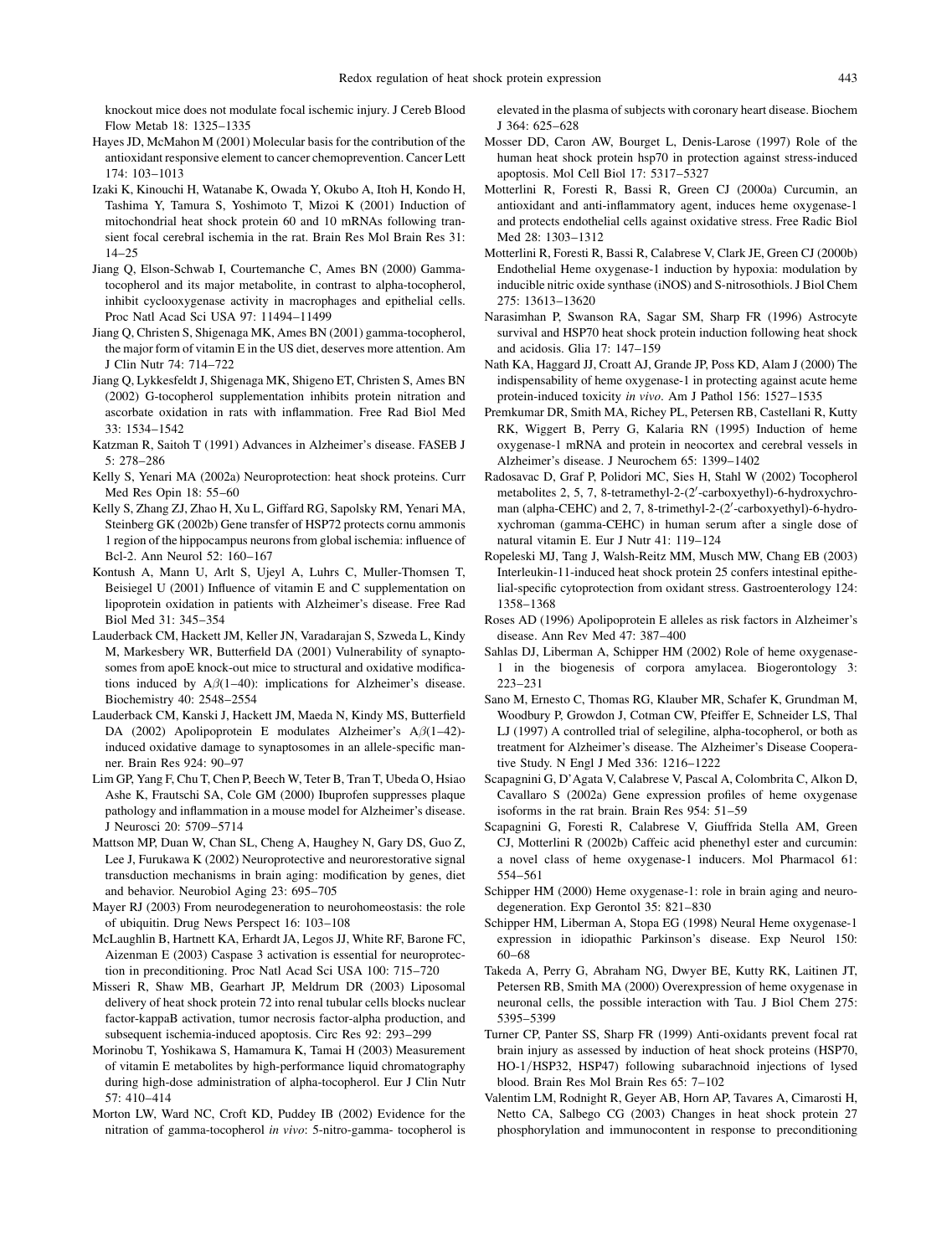knockout mice does not modulate focal ischemic injury. J Cereb Blood Flow Metab 18: 1325–1335

- Hayes JD, McMahon M (2001) Molecular basis for the contribution of the antioxidant responsive element to cancer chemoprevention. Cancer Lett 174: 103–1013
- Izaki K, Kinouchi H, Watanabe K, Owada Y, Okubo A, Itoh H, Kondo H, Tashima Y, Tamura S, Yoshimoto T, Mizoi K (2001) Induction of mitochondrial heat shock protein 60 and 10 mRNAs following transient focal cerebral ischemia in the rat. Brain Res Mol Brain Res 31: 14–25
- Jiang Q, Elson-Schwab I, Courtemanche C, Ames BN (2000) Gammatocopherol and its major metabolite, in contrast to alpha-tocopherol, inhibit cyclooxygenase activity in macrophages and epithelial cells. Proc Natl Acad Sci USA 97: 11494–11499
- Jiang Q, Christen S, Shigenaga MK, Ames BN (2001) gamma-tocopherol, the major form of vitamin E in the US diet, deserves more attention. Am J Clin Nutr 74: 714–722
- Jiang Q, Lykkesfeldt J, Shigenaga MK, Shigeno ET, Christen S, Ames BN (2002) G-tocopherol supplementation inhibits protein nitration and ascorbate oxidation in rats with inflammation. Free Rad Biol Med 33: 1534–1542
- Katzman R, Saitoh T (1991) Advances in Alzheimer's disease. FASEB J 5: 278–286
- Kelly S, Yenari MA (2002a) Neuroprotection: heat shock proteins. Curr Med Res Opin 18: 55–60
- Kelly S, Zhang ZJ, Zhao H, Xu L, Giffard RG, Sapolsky RM, Yenari MA, Steinberg GK (2002b) Gene transfer of HSP72 protects cornu ammonis 1 region of the hippocampus neurons from global ischemia: influence of Bcl-2. Ann Neurol 52: 160–167
- Kontush A, Mann U, Arlt S, Ujeyl A, Luhrs C, Muller-Thomsen T, Beisiegel U (2001) Influence of vitamin E and C supplementation on lipoprotein oxidation in patients with Alzheimer's disease. Free Rad Biol Med 31: 345–354
- Lauderback CM, Hackett JM, Keller JN, Varadarajan S, Szweda L, Kindy M, Markesbery WR, Butterfield DA (2001) Vulnerability of synaptosomes from apoE knock-out mice to structural and oxidative modifications induced by  $A\beta(1-40)$ : implications for Alzheimer's disease. Biochemistry 40: 2548–2554
- Lauderback CM, Kanski J, Hackett JM, Maeda N, Kindy MS, Butterfield DA (2002) Apolipoprotein E modulates Alzheimer's  $A\beta(1-42)$ induced oxidative damage to synaptosomes in an allele-specific manner. Brain Res 924: 90–97
- Lim GP, Yang F, Chu T, Chen P, Beech W, Teter B, Tran T, Ubeda O, Hsiao Ashe K, Frautschi SA, Cole GM (2000) Ibuprofen suppresses plaque pathology and inflammation in a mouse model for Alzheimer's disease. J Neurosci 20: 5709–5714
- Mattson MP, Duan W, Chan SL, Cheng A, Haughey N, Gary DS, Guo Z, Lee J, Furukawa K (2002) Neuroprotective and neurorestorative signal transduction mechanisms in brain aging: modification by genes, diet and behavior. Neurobiol Aging 23: 695–705
- Mayer RJ (2003) From neurodegeneration to neurohomeostasis: the role of ubiquitin. Drug News Perspect 16: 103–108
- McLaughlin B, Hartnett KA, Erhardt JA, Legos JJ, White RF, Barone FC, Aizenman E (2003) Caspase 3 activation is essential for neuroprotection in preconditioning. Proc Natl Acad Sci USA 100: 715–720
- Misseri R, Shaw MB, Gearhart JP, Meldrum DR (2003) Liposomal delivery of heat shock protein 72 into renal tubular cells blocks nuclear factor-kappaB activation, tumor necrosis factor-alpha production, and subsequent ischemia-induced apoptosis. Circ Res 92: 293–299
- Morinobu T, Yoshikawa S, Hamamura K, Tamai H (2003) Measurement of vitamin E metabolites by high-performance liquid chromatography during high-dose administration of alpha-tocopherol. Eur J Clin Nutr 57: 410–414
- Morton LW, Ward NC, Croft KD, Puddey IB (2002) Evidence for the nitration of gamma-tocopherol in vivo: 5-nitro-gamma- tocopherol is

elevated in the plasma of subjects with coronary heart disease. Biochem J 364: 625–628

- Mosser DD, Caron AW, Bourget L, Denis-Larose (1997) Role of the human heat shock protein hsp70 in protection against stress-induced apoptosis. Mol Cell Biol 17: 5317–5327
- Motterlini R, Foresti R, Bassi R, Green CJ (2000a) Curcumin, an antioxidant and anti-inflammatory agent, induces heme oxygenase-1 and protects endothelial cells against oxidative stress. Free Radic Biol Med 28: 1303–1312
- Motterlini R, Foresti R, Bassi R, Calabrese V, Clark JE, Green CJ (2000b) Endothelial Heme oxygenase-1 induction by hypoxia: modulation by inducible nitric oxide synthase (iNOS) and S-nitrosothiols. J Biol Chem 275: 13613–13620
- Narasimhan P, Swanson RA, Sagar SM, Sharp FR (1996) Astrocyte survival and HSP70 heat shock protein induction following heat shock and acidosis. Glia 17: 147–159
- Nath KA, Haggard JJ, Croatt AJ, Grande JP, Poss KD, Alam J (2000) The indispensability of heme oxygenase-1 in protecting against acute heme protein-induced toxicity in vivo. Am J Pathol 156: 1527–1535
- Premkumar DR, Smith MA, Richey PL, Petersen RB, Castellani R, Kutty RK, Wiggert B, Perry G, Kalaria RN (1995) Induction of heme oxygenase-1 mRNA and protein in neocortex and cerebral vessels in Alzheimer's disease. J Neurochem 65: 1399–1402
- Radosavac D, Graf P, Polidori MC, Sies H, Stahl W (2002) Tocopherol metabolites 2, 5, 7, 8-tetramethyl-2-(2'-carboxyethyl)-6-hydroxychroman (alpha-CEHC) and 2, 7, 8-trimethyl-2-(2'-carboxyethyl)-6-hydroxychroman (gamma-CEHC) in human serum after a single dose of natural vitamin E. Eur J Nutr 41: 119–124
- Ropeleski MJ, Tang J, Walsh-Reitz MM, Musch MW, Chang EB (2003) Interleukin-11-induced heat shock protein 25 confers intestinal epithelial-specific cytoprotection from oxidant stress. Gastroenterology 124: 1358–1368
- Roses AD (1996) Apolipoprotein E alleles as risk factors in Alzheimer's disease. Ann Rev Med 47: 387–400
- Sahlas DJ, Liberman A, Schipper HM (2002) Role of heme oxygenase-1 in the biogenesis of corpora amylacea. Biogerontology 3: 223–231
- Sano M, Ernesto C, Thomas RG, Klauber MR, Schafer K, Grundman M, Woodbury P, Growdon J, Cotman CW, Pfeiffer E, Schneider LS, Thal LJ (1997) A controlled trial of selegiline, alpha-tocopherol, or both as treatment for Alzheimer's disease. The Alzheimer's Disease Cooperative Study. N Engl J Med 336: 1216–1222
- Scapagnini G, D'Agata V, Calabrese V, Pascal A, Colombrita C, Alkon D, Cavallaro S (2002a) Gene expression profiles of heme oxygenase isoforms in the rat brain. Brain Res 954: 51–59
- Scapagnini G, Foresti R, Calabrese V, Giuffrida Stella AM, Green CJ, Motterlini R (2002b) Caffeic acid phenethyl ester and curcumin: a novel class of heme oxygenase-1 inducers. Mol Pharmacol 61: 554–561
- Schipper HM (2000) Heme oxygenase-1: role in brain aging and neurodegeneration. Exp Gerontol 35: 821–830
- Schipper HM, Liberman A, Stopa EG (1998) Neural Heme oxygenase-1 expression in idiopathic Parkinson's disease. Exp Neurol 150: 60–68
- Takeda A, Perry G, Abraham NG, Dwyer BE, Kutty RK, Laitinen JT, Petersen RB, Smith MA (2000) Overexpression of heme oxygenase in neuronal cells, the possible interaction with Tau. J Biol Chem 275: 5395–5399
- Turner CP, Panter SS, Sharp FR (1999) Anti-oxidants prevent focal rat brain injury as assessed by induction of heat shock proteins (HSP70, HO-1/HSP32, HSP47) following subarachnoid injections of lysed blood. Brain Res Mol Brain Res 65: 7–102
- Valentim LM, Rodnight R, Geyer AB, Horn AP, Tavares A, Cimarosti H, Netto CA, Salbego CG (2003) Changes in heat shock protein 27 phosphorylation and immunocontent in response to preconditioning